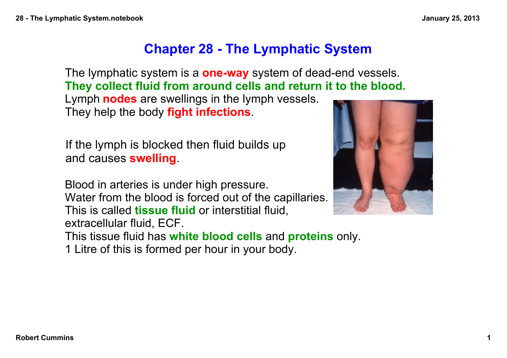## **Chapter 28 - The Lymphatic System**

The lymphatic system is a **one-way** system of dead-end vessels. **They collect fluid from around cells and return it to the blood.**

Lymph **nodes** are swellings in the lymph vessels. They help the body **fight infections**.

If the lymph is blocked then fluid builds up and causes **swelling**.

Blood in arteries is under high pressure. Water from the blood is forced out of the capillaries. This is called **tissue fluid** or interstitial fluid, extracellular fluid, ECF.



This tissue fluid has **white blood cells** and **proteins** only.

1 Litre of this is formed per hour in your body.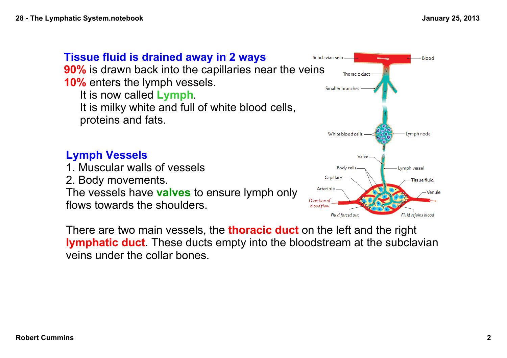

There are two main vessels, the **thoracic duct** on the left and the right **lymphatic duct**. These ducts empty into the bloodstream at the subclavian veins under the collar bones.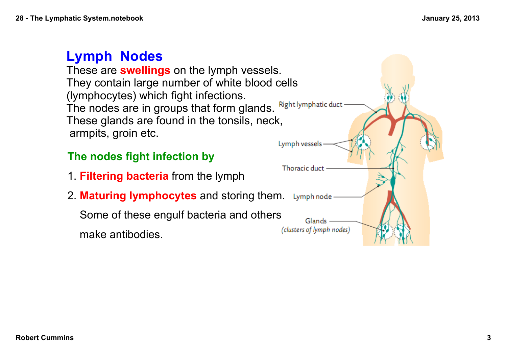## **Lymph Nodes**

These are **swellings** on the lymph vessels. They contain large number of white blood cells (lymphocytes) which fight infections. The nodes are in groups that form glands. These glands are found in the tonsils, neck, armpits, groin etc.

## **The nodes fight infection by**

- 1. **Filtering bacteria** from the lymph
- 2. **Maturing lymphocytes** and storing them.

Some of these engulf bacteria and others

make antibodies.